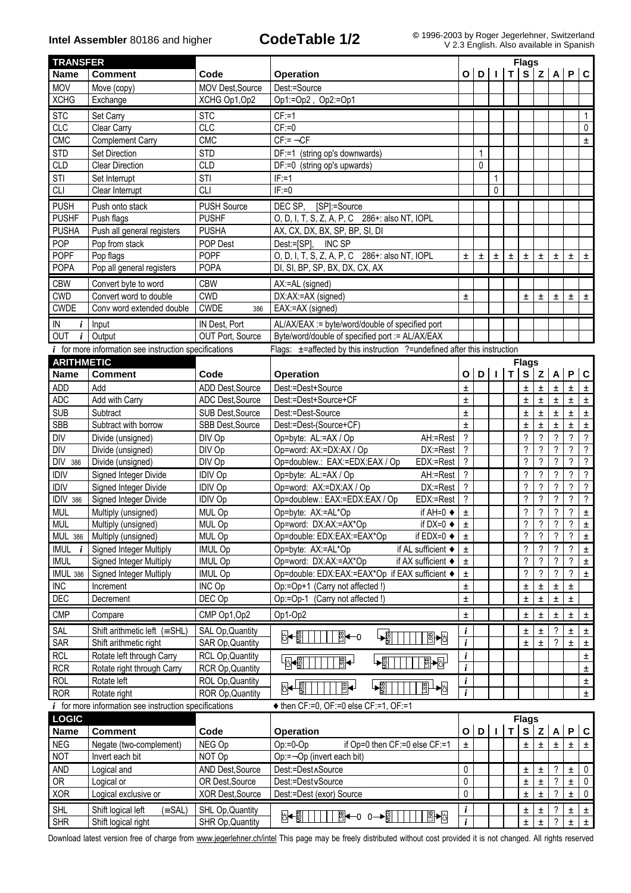| <b>TRANSFER</b>                                                                                           |                                                         |                                     |                                                                                           | <b>Flags</b>        |       |                |       |                                |                          |                            |                          |                             |
|-----------------------------------------------------------------------------------------------------------|---------------------------------------------------------|-------------------------------------|-------------------------------------------------------------------------------------------|---------------------|-------|----------------|-------|--------------------------------|--------------------------|----------------------------|--------------------------|-----------------------------|
| <b>Name</b>                                                                                               | <b>Comment</b>                                          | Code                                | <b>Operation</b>                                                                          |                     |       |                | т     |                                |                          | S Z A P C                  |                          |                             |
| <b>MOV</b>                                                                                                | Move (copy)                                             | MOV Dest, Source                    | Dest:=Source                                                                              |                     |       |                |       |                                |                          |                            |                          |                             |
| <b>XCHG</b>                                                                                               | Exchange                                                | XCHG Op1, Op2                       | Op1:=Op2, Op2:=Op1                                                                        |                     |       |                |       |                                |                          |                            |                          |                             |
| <b>STC</b>                                                                                                | Set Carry                                               | <b>STC</b>                          | $CF: = 1$                                                                                 |                     |       |                |       |                                |                          |                            |                          | $\mathbf{1}$                |
| <b>CLC</b>                                                                                                | Clear Carry                                             | <b>CLC</b>                          | $CF:=0$                                                                                   |                     |       |                |       |                                |                          |                            |                          | 0                           |
| CMC                                                                                                       | <b>Complement Carry</b>                                 | CMC                                 | $CF = ØCF$                                                                                |                     |       |                |       |                                |                          |                            |                          | $\pm$                       |
| <b>STD</b>                                                                                                | Set Direction                                           | <b>STD</b>                          | DF:=1 (string op's downwards)                                                             |                     |       |                |       |                                |                          |                            |                          |                             |
| <b>CLD</b>                                                                                                | <b>Clear Direction</b>                                  | <b>CLD</b>                          | DF:=0 (string op's upwards)                                                               |                     | 0     |                |       |                                |                          |                            |                          |                             |
| <b>STI</b>                                                                                                | Set Interrupt                                           | STI                                 | $IF = 1$                                                                                  |                     |       | $\mathbf{1}$   |       |                                |                          |                            |                          |                             |
| <b>CLI</b>                                                                                                | Clear Interrupt                                         | <b>CLI</b>                          | $IF:=0$                                                                                   |                     |       | 0              |       |                                |                          |                            |                          |                             |
| <b>PUSH</b>                                                                                               | Push onto stack                                         | <b>PUSH Source</b>                  | DEC SP.<br>[SP]:=Source                                                                   |                     |       |                |       |                                |                          |                            |                          |                             |
| <b>PUSHF</b>                                                                                              | Push flags                                              | <b>PUSHF</b>                        | O, D, I, T, S, Z, A, P, C 286+: also NT, IOPL                                             |                     |       |                |       |                                |                          |                            |                          |                             |
| <b>PUSHA</b>                                                                                              | Push all general registers                              | <b>PUSHA</b>                        | AX, CX, DX, BX, SP, BP, SI, DI                                                            |                     |       |                |       |                                |                          |                            |                          |                             |
| POP                                                                                                       | Pop from stack                                          | POP Dest                            | INC SP<br>Dest:=[SP],                                                                     |                     |       |                |       |                                |                          |                            |                          |                             |
| <b>POPF</b>                                                                                               | Pop flags                                               | <b>POPF</b>                         | O, D, I, T, S, Z, A, P, C 286+: also NT, IOPL                                             | Ŧ                   | $\pm$ | Ŧ              | $\pm$ | $\pm$                          | $\pm$                    | Ŧ                          | Ŧ                        | Ŧ                           |
| <b>POPA</b>                                                                                               | Pop all general registers                               | <b>POPA</b>                         | DI, SI, BP, SP, BX, DX, CX, AX                                                            |                     |       |                |       |                                |                          |                            |                          |                             |
| <b>CBW</b>                                                                                                | Convert byte to word                                    | <b>CBW</b>                          | AX:=AL (signed)                                                                           |                     |       |                |       |                                |                          |                            |                          |                             |
| <b>CWD</b>                                                                                                | Convert word to double                                  | <b>CWD</b>                          | DX:AX:=AX (signed)                                                                        | ±.                  |       |                |       | $\pm$                          | $\pm$                    | Ŧ                          | Ŧ.                       | $\pm$                       |
| <b>CWDE</b>                                                                                               | Conv word extended double                               | <b>CWDE</b><br>386                  | EAX:=AX (signed)                                                                          |                     |       |                |       |                                |                          |                            |                          |                             |
| IN<br>i                                                                                                   | Input                                                   | IN Dest, Port                       | AL/AX/EAX := byte/word/double of specified port                                           |                     |       |                |       |                                |                          |                            |                          |                             |
| OUT<br>$\boldsymbol{i}$                                                                                   | Output                                                  | OUT Port, Source                    | Byte/word/double of specified port := AL/AX/EAX                                           |                     |       |                |       |                                |                          |                            |                          |                             |
|                                                                                                           | $i$ for more information see instruction specifications |                                     | Flags: ±=affected by this instruction ?=undefined after this instruction                  |                     |       |                |       |                                |                          |                            |                          |                             |
| <b>ARITHMETIC</b>                                                                                         |                                                         |                                     |                                                                                           |                     |       |                |       | <b>Flags</b>                   |                          |                            |                          |                             |
| <b>Name</b>                                                                                               | <b>Comment</b>                                          | Code                                | Operation                                                                                 | O                   | D     | $\blacksquare$ | T     | $\mathbf{s}$                   |                          | $Z \mid A$                 | P                        | $\overline{c}$              |
| <b>ADD</b>                                                                                                | Add                                                     | <b>ADD Dest.Source</b>              | Dest:=Dest+Source                                                                         | ±                   |       |                |       | ±.                             | $\pm$                    | $\pm$                      | $\pm$                    | $\pm$                       |
| <b>ADC</b>                                                                                                | Add with Carry                                          | ADC Dest, Source                    | Dest:=Dest+Source+CF                                                                      | ±                   |       |                |       | 土                              | 土                        | Ŧ                          | Ŧ.                       | $\pm$                       |
| <b>SUB</b>                                                                                                | Subtract                                                | SUB Dest, Source                    | Dest:=Dest-Source                                                                         | Ŧ                   |       |                |       | Ŧ                              | $\pm$                    | $\pm$                      | Ŧ                        | $\pm$                       |
| <b>SBB</b>                                                                                                | Subtract with borrow                                    | SBB Dest, Source                    | Dest:=Dest-(Source+CF)                                                                    | ±.                  |       |                |       | ±                              | Ŧ                        | $\pm$                      | Ŧ                        | $\pm$                       |
| DIV                                                                                                       | Divide (unsigned)                                       | DIV Op                              | Op=byte: AL:=AX / Op<br>AH:=Rest                                                          | $\gamma$            |       |                |       | $\gamma$                       | ?                        | ?                          | ?                        | $\gamma$                    |
| <b>DIV</b>                                                                                                | Divide (unsigned)                                       | DIV Op                              | Op=word: AX:=DX:AX / Op<br>DX:=Rest                                                       | ?                   |       |                |       | $\overline{\phantom{a}}$       | ?                        | ?                          | ?                        | $\overline{\cdot}$          |
| DIV<br>386                                                                                                | Divide (unsigned)                                       | DIV Op                              | Op=doublew.: EAX:=EDX:EAX / Op<br>EDX:=Rest                                               | $\gamma$            |       |                |       | $\overline{\phantom{a}}$       | $\gamma$                 | ?                          | $\gamma$                 | $\overline{?}$              |
| <b>IDIV</b>                                                                                               | Signed Integer Divide                                   | <b>IDIV Op</b>                      | Op=byte: AL:=AX / Op<br>AH:=Rest                                                          | ?                   |       |                |       | ?                              | ?                        | ?                          | ?                        | $\overline{\mathcal{E}}$    |
| <b>IDIV</b>                                                                                               | Signed Integer Divide                                   | <b>IDIV Op</b>                      | Op=word: AX:=DX:AX / Op<br>DX:=Rest                                                       | ?                   |       |                |       | ?                              | $\overline{\phantom{a}}$ | ?                          | ?                        | $\overline{\cdot}$          |
| IDIV 386                                                                                                  | Signed Integer Divide                                   | <b>IDIV Op</b>                      | Op=doublew.: EAX:=EDX:EAX / Op<br>EDX:=Rest                                               | ?                   |       |                |       | $\overline{\phantom{a}}$       | $\overline{\phantom{a}}$ | $\overline{\phantom{0}}$   | ?                        | $\overline{\mathbf{c}}$     |
| <b>MUL</b>                                                                                                | Multiply (unsigned)                                     | MUL Op                              | Op=byte: AX:=AL*Op<br>if AH= $0 \triangleleft$                                            | $\pm$               |       |                |       | ?                              | ?                        | ?                          | ?                        | $\pm$                       |
| <b>MUL</b>                                                                                                | Multiply (unsigned)                                     | MUL Op                              | if $DX=0$ $\rightarrow$<br>Op=word: DX:AX:=AX*Op                                          | $\pm$               |       |                |       | $\overline{?}$                 | $\gamma$                 | $\overline{\phantom{a}}$   | $\overline{\phantom{a}}$ | $\pm$                       |
| MUL 386                                                                                                   | Multiply (unsigned)                                     | MUL Op                              | Op=double: EDX:EAX:=EAX*Op<br>if $EDX=0$ $\bullet$                                        | $\pm$               |       |                |       | $\gamma$                       | $\gamma$                 | $\gamma$                   | $\gamma$                 | $\pm$                       |
| $IMUL$ $i$                                                                                                | <b>Signed Integer Multiply</b>                          | <b>IMUL Op</b>                      | Op=byte: AX:=AL*Op<br>if AL sufficient ◆                                                  | Ŧ                   |       |                |       | $\gamma$                       | $\overline{\phantom{0}}$ | $\overline{\phantom{0}}$   | $\gamma$                 | $\pm$                       |
| <b>IMUL</b>                                                                                               | Signed Integer Multiply                                 | <b>IMUL Op</b>                      | Op=word: DX:AX:=AX*Op<br>if AX sufficient ◆                                               | $\pm$               |       |                |       | $\gamma$                       | $\overline{\phantom{a}}$ | ?                          | ?                        | $\pm$                       |
| <b>IMUL 386</b>                                                                                           | Signed Integer Multiply                                 | <b>IMUL Op</b>                      | Op=double: EDX:EAX:=EAX*Op if EAX sufficient +                                            | $\pm$               |       |                |       | $\gamma$                       | $\overline{\phantom{a}}$ | $\overline{\phantom{a}}$   | $\overline{\phantom{a}}$ | $\pm$                       |
| <b>INC</b>                                                                                                | Increment                                               | INC Op                              | Op:=Op+1 (Carry not affected !)                                                           | Ŧ                   |       |                |       | Ŧ                              | Ŧ                        | ±                          | Ŧ                        |                             |
| <b>DEC</b>                                                                                                | Decrement                                               | DEC Op                              | Op:=Op-1 (Carry not affected !)                                                           | Ŧ                   |       |                |       | Ŧ                              | $\pm$                    | $\pm$                      | Ŧ.                       |                             |
| <b>CMP</b>                                                                                                | Compare                                                 | CMP Op1,Op2                         | Op1-Op2                                                                                   | Ŧ                   |       |                |       | ±                              | Ŧ                        | 土                          | $\pm$                    | $\pm$                       |
| SAL                                                                                                       | Shift arithmetic left $(=\text{SHL})$                   | SAL Op, Quantity                    | - ∰<br>$\mathbb{B}$ +<br><u> ଞ</u> ]⊲—o<br>⊪⊪                                             | i                   |       |                |       | 土                              | Ŧ                        | ?                          | ±                        | $\pm$                       |
| <b>SAR</b>                                                                                                | Shift arithmetic right                                  | SAR Op, Quantity                    |                                                                                           | i                   |       |                |       | Ŧ                              | Ŧ                        | ?                          | Ŧ.                       | $\pm$                       |
| <b>RCL</b>                                                                                                | Rotate left through Carry                               | <b>RCL Op, Quantity</b>             | ⊦ अ√<br>$\frac{1}{2}$<br><b>B→B</b><br>P                                                  | i                   |       |                |       |                                |                          |                            |                          | $\pm$                       |
| <b>RCR</b>                                                                                                | Rotate right through Carry                              | RCR Op, Quantity                    |                                                                                           | i                   |       |                |       |                                |                          |                            |                          | ±.                          |
| <b>ROL</b>                                                                                                | Rotate left                                             | ROL Op, Quantity                    | <del>ן</del><br>BI<br>-8<br>圖<br>⊮⊌<br>+⊞                                                 | i                   |       |                |       |                                |                          |                            |                          | $\pm$                       |
| <b>ROR</b>                                                                                                | Rotate right                                            | ROR Op, Quantity                    |                                                                                           |                     |       |                |       |                                |                          |                            |                          | $\pm$                       |
| for more information see instruction specifications<br>$\bullet$ then CF:=0, OF:=0 else CF:=1, OF:=1<br>i |                                                         |                                     |                                                                                           |                     |       |                |       |                                |                          |                            |                          |                             |
| <b>LOGIC</b>                                                                                              | <b>Comment</b>                                          |                                     |                                                                                           |                     | D     |                | т     | <b>Flags</b><br>s <sub>1</sub> |                          |                            | P                        |                             |
| <b>Name</b>                                                                                               |                                                         | Code                                | <b>Operation</b>                                                                          | O                   |       |                |       |                                |                          | $Z \mid A$                 |                          | $\mathbf c$                 |
| <b>NEG</b>                                                                                                | Negate (two-complement)                                 | NEG Op                              | $Op:=0-Op$<br>if Op=0 then CF:=0 else CF:=1                                               | ±.                  |       |                |       | Ŧ                              | $\pm$                    | $\pm$                      | ±.                       | $\pm$                       |
| <b>NOT</b>                                                                                                | Invert each bit                                         | NOT Op                              | Op:=ØOp (invert each bit)                                                                 |                     |       |                |       |                                |                          |                            |                          |                             |
| <b>AND</b>                                                                                                | Logical and                                             | AND Dest, Source                    | Dest:=DestÙSource                                                                         |                     |       |                |       | Ŧ                              | 土                        | ?                          | Ŧ                        | $\mathbf 0$                 |
| 0R<br><b>XOR</b>                                                                                          | Logical or<br>Logical exclusive or                      | OR Dest, Source<br>XOR Dest, Source | Dest:=DestÚSource<br>Dest:=Dest (exor) Source                                             | 0<br>0              |       |                |       | 土<br>Ŧ                         | ±<br>Ŧ                   | ?<br>?                     | Ŧ<br>Ŧ                   | $\mathbf 0$<br>$\mathbf{0}$ |
|                                                                                                           |                                                         |                                     |                                                                                           |                     |       |                |       |                                |                          |                            |                          |                             |
| <b>SHL</b>                                                                                                | Shift logical left<br>$(\equiv$ SAL)                    | SHL Op, Quantity                    | $\frac{1}{2}$ $\frac{1}{2}$ 0 0 $\rightarrow$ $\frac{1}{2}$<br>闘▶ 日<br>∣ଧ <sup>ୁ</sup> କା | i<br>$\overline{i}$ |       |                |       | 土                              | 土                        | ?                          | ±                        | $\pm$                       |
| <b>SHR</b>                                                                                                | Shift logical right                                     | SHR Op, Quantity                    |                                                                                           |                     |       |                |       | Ŧ                              | $\pm$                    | $\boldsymbol{\mathcal{P}}$ | $\pm$                    | $\pm$                       |

Download latest version free of charge from www.jegerlehner.ch/intel This page may be freely distributed without cost provided it is not changed. All rights reserved